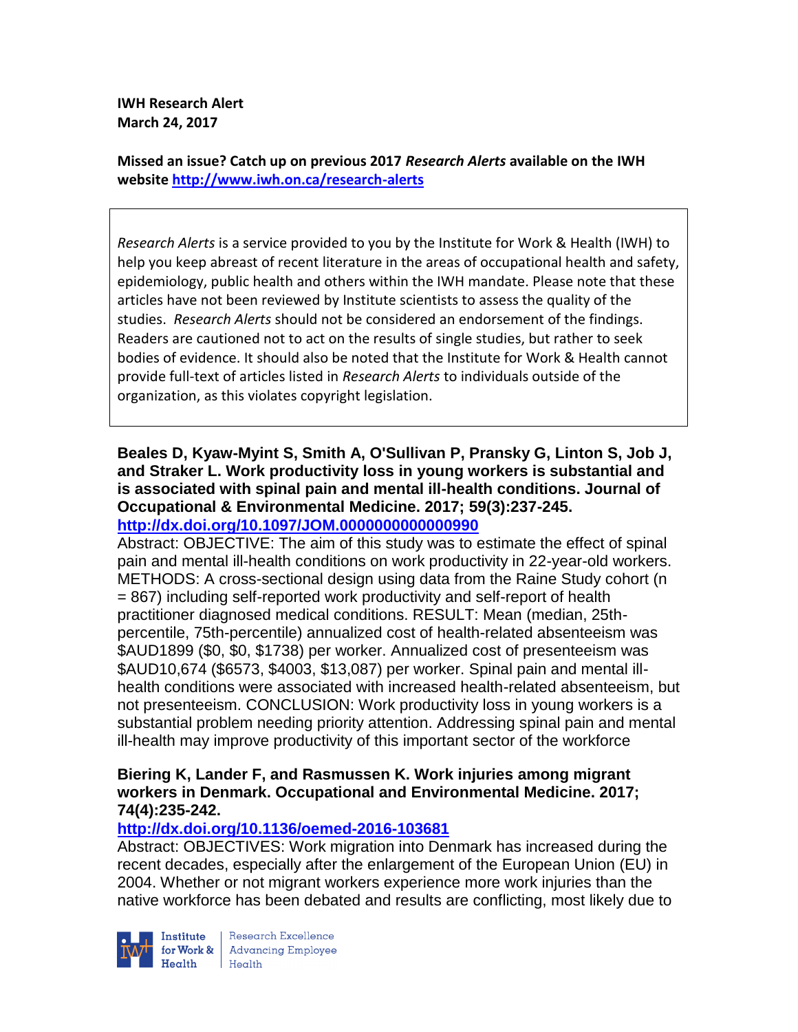**IWH Research Alert March 24, 2017**

**Missed an issue? Catch up on previous 2017** *Research Alerts* **available on the [IWH](http://www.iwh.on.ca/research-alerts)  [website](http://www.iwh.on.ca/research-alerts) <http://www.iwh.on.ca/research-alerts>**

*Research Alerts* is a service provided to you by the Institute for Work & Health (IWH) to help you keep abreast of recent literature in the areas of occupational health and safety, epidemiology, public health and others within the IWH mandate. Please note that these articles have not been reviewed by Institute scientists to assess the quality of the studies. *Research Alerts* should not be considered an endorsement of the findings. Readers are cautioned not to act on the results of single studies, but rather to seek bodies of evidence. It should also be noted that the Institute for Work & Health cannot provide full-text of articles listed in *Research Alerts* to individuals outside of the organization, as this violates copyright legislation.

### **Beales D, Kyaw-Myint S, Smith A, O'Sullivan P, Pransky G, Linton S, Job J, and Straker L. Work productivity loss in young workers is substantial and is associated with spinal pain and mental ill-health conditions. Journal of Occupational & Environmental Medicine. 2017; 59(3):237-245. <http://dx.doi.org/10.1097/JOM.0000000000000990>**

Abstract: OBJECTIVE: The aim of this study was to estimate the effect of spinal pain and mental ill-health conditions on work productivity in 22-year-old workers. METHODS: A cross-sectional design using data from the Raine Study cohort (n = 867) including self-reported work productivity and self-report of health practitioner diagnosed medical conditions. RESULT: Mean (median, 25thpercentile, 75th-percentile) annualized cost of health-related absenteeism was \$AUD1899 (\$0, \$0, \$1738) per worker. Annualized cost of presenteeism was \$AUD10,674 (\$6573, \$4003, \$13,087) per worker. Spinal pain and mental illhealth conditions were associated with increased health-related absenteeism, but not presenteeism. CONCLUSION: Work productivity loss in young workers is a substantial problem needing priority attention. Addressing spinal pain and mental ill-health may improve productivity of this important sector of the workforce

## **Biering K, Lander F, and Rasmussen K. Work injuries among migrant workers in Denmark. Occupational and Environmental Medicine. 2017; 74(4):235-242.**

# **<http://dx.doi.org/10.1136/oemed-2016-103681>**

Abstract: OBJECTIVES: Work migration into Denmark has increased during the recent decades, especially after the enlargement of the European Union (EU) in 2004. Whether or not migrant workers experience more work injuries than the native workforce has been debated and results are conflicting, most likely due to



Research Excellence **Advancing Employee** Health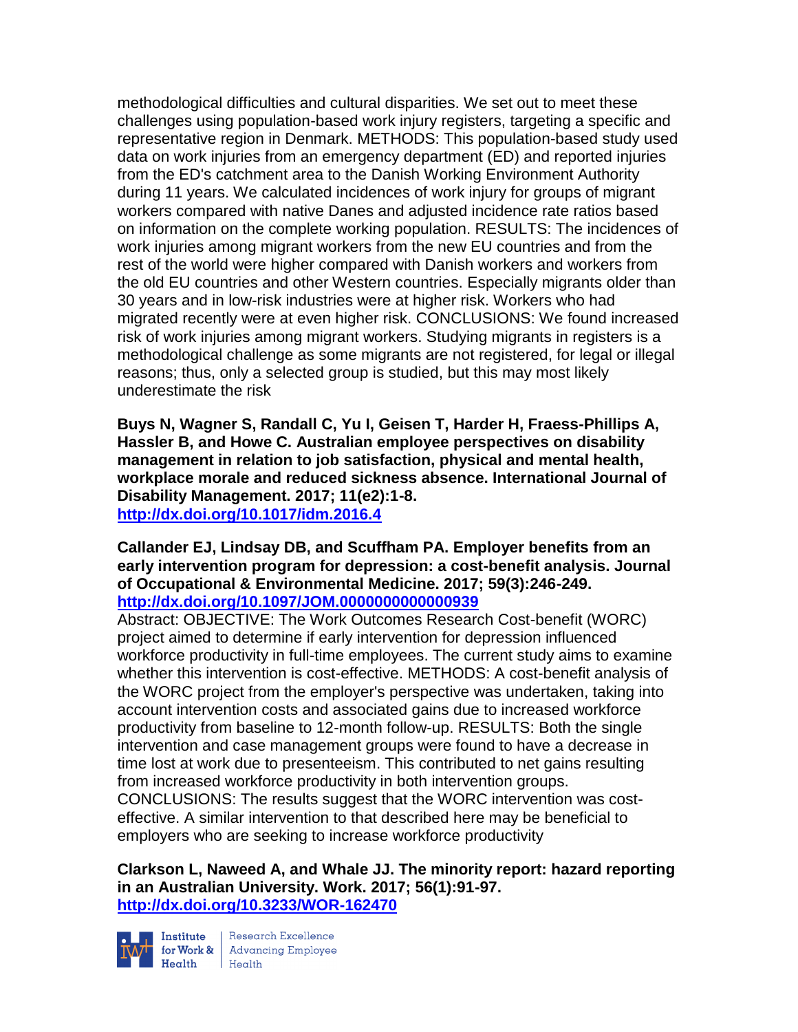methodological difficulties and cultural disparities. We set out to meet these challenges using population-based work injury registers, targeting a specific and representative region in Denmark. METHODS: This population-based study used data on work injuries from an emergency department (ED) and reported injuries from the ED's catchment area to the Danish Working Environment Authority during 11 years. We calculated incidences of work injury for groups of migrant workers compared with native Danes and adjusted incidence rate ratios based on information on the complete working population. RESULTS: The incidences of work injuries among migrant workers from the new EU countries and from the rest of the world were higher compared with Danish workers and workers from the old EU countries and other Western countries. Especially migrants older than 30 years and in low-risk industries were at higher risk. Workers who had migrated recently were at even higher risk. CONCLUSIONS: We found increased risk of work injuries among migrant workers. Studying migrants in registers is a methodological challenge as some migrants are not registered, for legal or illegal reasons; thus, only a selected group is studied, but this may most likely underestimate the risk

**Buys N, Wagner S, Randall C, Yu I, Geisen T, Harder H, Fraess-Phillips A, Hassler B, and Howe C. Australian employee perspectives on disability management in relation to job satisfaction, physical and mental health, workplace morale and reduced sickness absence. International Journal of Disability Management. 2017; 11(e2):1-8. <http://dx.doi.org/10.1017/idm.2016.4>**

**Callander EJ, Lindsay DB, and Scuffham PA. Employer benefits from an early intervention program for depression: a cost-benefit analysis. Journal of Occupational & Environmental Medicine. 2017; 59(3):246-249. <http://dx.doi.org/10.1097/JOM.0000000000000939>**

Abstract: OBJECTIVE: The Work Outcomes Research Cost-benefit (WORC) project aimed to determine if early intervention for depression influenced workforce productivity in full-time employees. The current study aims to examine whether this intervention is cost-effective. METHODS: A cost-benefit analysis of the WORC project from the employer's perspective was undertaken, taking into account intervention costs and associated gains due to increased workforce productivity from baseline to 12-month follow-up. RESULTS: Both the single intervention and case management groups were found to have a decrease in time lost at work due to presenteeism. This contributed to net gains resulting from increased workforce productivity in both intervention groups. CONCLUSIONS: The results suggest that the WORC intervention was costeffective. A similar intervention to that described here may be beneficial to employers who are seeking to increase workforce productivity

**Clarkson L, Naweed A, and Whale JJ. The minority report: hazard reporting in an Australian University. Work. 2017; 56(1):91-97. <http://dx.doi.org/10.3233/WOR-162470>**



Institute Research Excellence<br>for Work & Advancing Employee<br>Health Health  $Heath$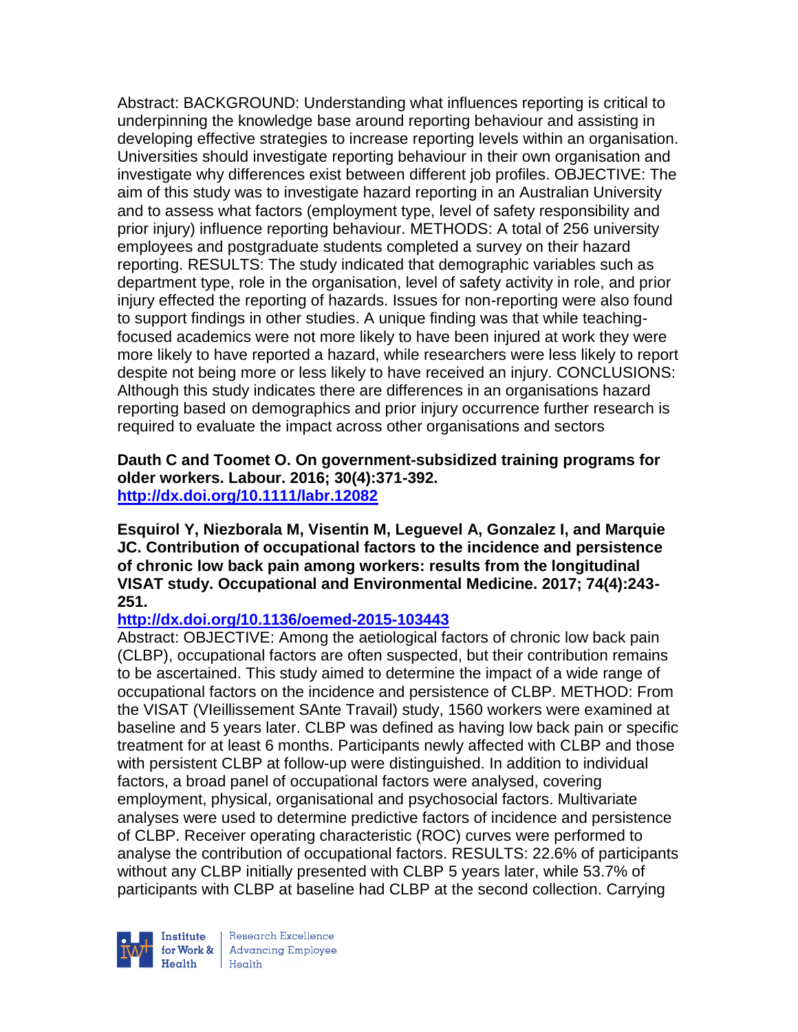Abstract: BACKGROUND: Understanding what influences reporting is critical to underpinning the knowledge base around reporting behaviour and assisting in developing effective strategies to increase reporting levels within an organisation. Universities should investigate reporting behaviour in their own organisation and investigate why differences exist between different job profiles. OBJECTIVE: The aim of this study was to investigate hazard reporting in an Australian University and to assess what factors (employment type, level of safety responsibility and prior injury) influence reporting behaviour. METHODS: A total of 256 university employees and postgraduate students completed a survey on their hazard reporting. RESULTS: The study indicated that demographic variables such as department type, role in the organisation, level of safety activity in role, and prior injury effected the reporting of hazards. Issues for non-reporting were also found to support findings in other studies. A unique finding was that while teachingfocused academics were not more likely to have been injured at work they were more likely to have reported a hazard, while researchers were less likely to report despite not being more or less likely to have received an injury. CONCLUSIONS: Although this study indicates there are differences in an organisations hazard reporting based on demographics and prior injury occurrence further research is required to evaluate the impact across other organisations and sectors

**Dauth C and Toomet O. On government-subsidized training programs for older workers. Labour. 2016; 30(4):371-392. <http://dx.doi.org/10.1111/labr.12082>**

**Esquirol Y, Niezborala M, Visentin M, Leguevel A, Gonzalez I, and Marquie JC. Contribution of occupational factors to the incidence and persistence of chronic low back pain among workers: results from the longitudinal VISAT study. Occupational and Environmental Medicine. 2017; 74(4):243- 251.** 

## **<http://dx.doi.org/10.1136/oemed-2015-103443>**

Abstract: OBJECTIVE: Among the aetiological factors of chronic low back pain (CLBP), occupational factors are often suspected, but their contribution remains to be ascertained. This study aimed to determine the impact of a wide range of occupational factors on the incidence and persistence of CLBP. METHOD: From the VISAT (VIeillissement SAnte Travail) study, 1560 workers were examined at baseline and 5 years later. CLBP was defined as having low back pain or specific treatment for at least 6 months. Participants newly affected with CLBP and those with persistent CLBP at follow-up were distinguished. In addition to individual factors, a broad panel of occupational factors were analysed, covering employment, physical, organisational and psychosocial factors. Multivariate analyses were used to determine predictive factors of incidence and persistence of CLBP. Receiver operating characteristic (ROC) curves were performed to analyse the contribution of occupational factors. RESULTS: 22.6% of participants without any CLBP initially presented with CLBP 5 years later, while 53.7% of participants with CLBP at baseline had CLBP at the second collection. Carrying

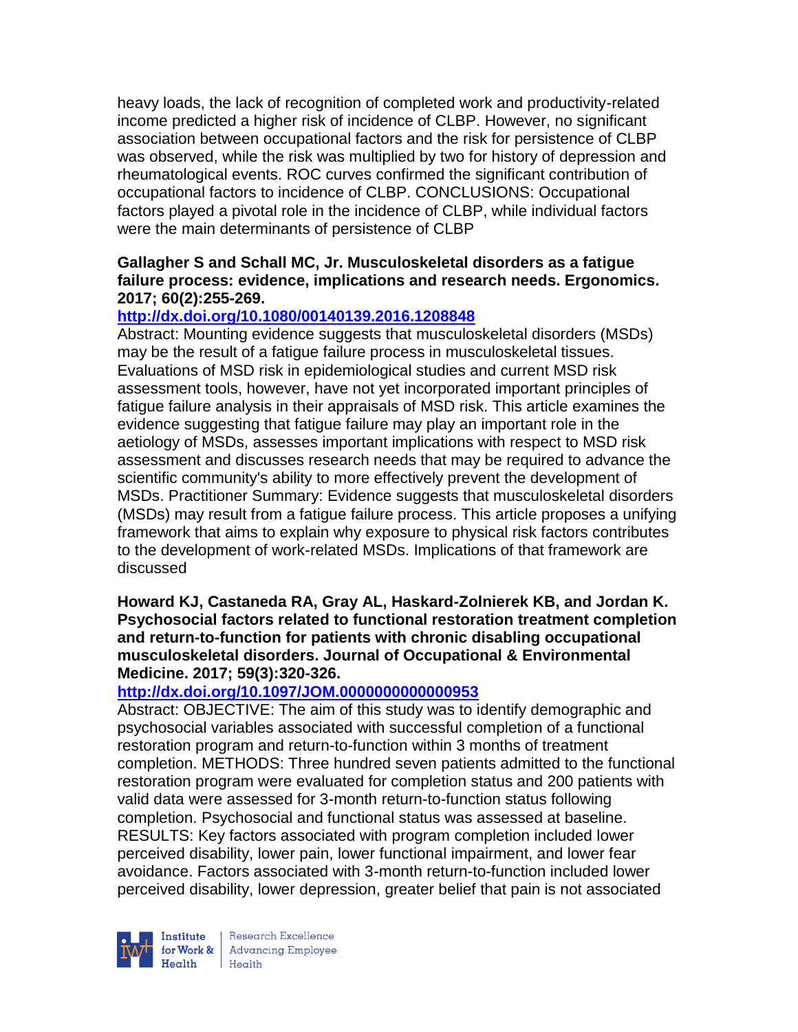heavy loads, the lack of recognition of completed work and productivity-related income predicted a higher risk of incidence of CLBP. However, no significant association between occupational factors and the risk for persistence of CLBP was observed, while the risk was multiplied by two for history of depression and rheumatological events. ROC curves confirmed the significant contribution of occupational factors to incidence of CLBP. CONCLUSIONS: Occupational factors played a pivotal role in the incidence of CLBP, while individual factors were the main determinants of persistence of CLBP

## **Gallagher S and Schall MC, Jr. Musculoskeletal disorders as a fatigue failure process: evidence, implications and research needs. Ergonomics. 2017; 60(2):255-269.**

## **<http://dx.doi.org/10.1080/00140139.2016.1208848>**

Abstract: Mounting evidence suggests that musculoskeletal disorders (MSDs) may be the result of a fatigue failure process in musculoskeletal tissues. Evaluations of MSD risk in epidemiological studies and current MSD risk assessment tools, however, have not yet incorporated important principles of fatigue failure analysis in their appraisals of MSD risk. This article examines the evidence suggesting that fatigue failure may play an important role in the aetiology of MSDs, assesses important implications with respect to MSD risk assessment and discusses research needs that may be required to advance the scientific community's ability to more effectively prevent the development of MSDs. Practitioner Summary: Evidence suggests that musculoskeletal disorders (MSDs) may result from a fatigue failure process. This article proposes a unifying framework that aims to explain why exposure to physical risk factors contributes to the development of work-related MSDs. Implications of that framework are discussed

### **Howard KJ, Castaneda RA, Gray AL, Haskard-Zolnierek KB, and Jordan K. Psychosocial factors related to functional restoration treatment completion and return-to-function for patients with chronic disabling occupational musculoskeletal disorders. Journal of Occupational & Environmental Medicine. 2017; 59(3):320-326.**

# **<http://dx.doi.org/10.1097/JOM.0000000000000953>**

Abstract: OBJECTIVE: The aim of this study was to identify demographic and psychosocial variables associated with successful completion of a functional restoration program and return-to-function within 3 months of treatment completion. METHODS: Three hundred seven patients admitted to the functional restoration program were evaluated for completion status and 200 patients with valid data were assessed for 3-month return-to-function status following completion. Psychosocial and functional status was assessed at baseline. RESULTS: Key factors associated with program completion included lower perceived disability, lower pain, lower functional impairment, and lower fear avoidance. Factors associated with 3-month return-to-function included lower perceived disability, lower depression, greater belief that pain is not associated



Research Excellence for Work & Advancing Employee<br>Health Health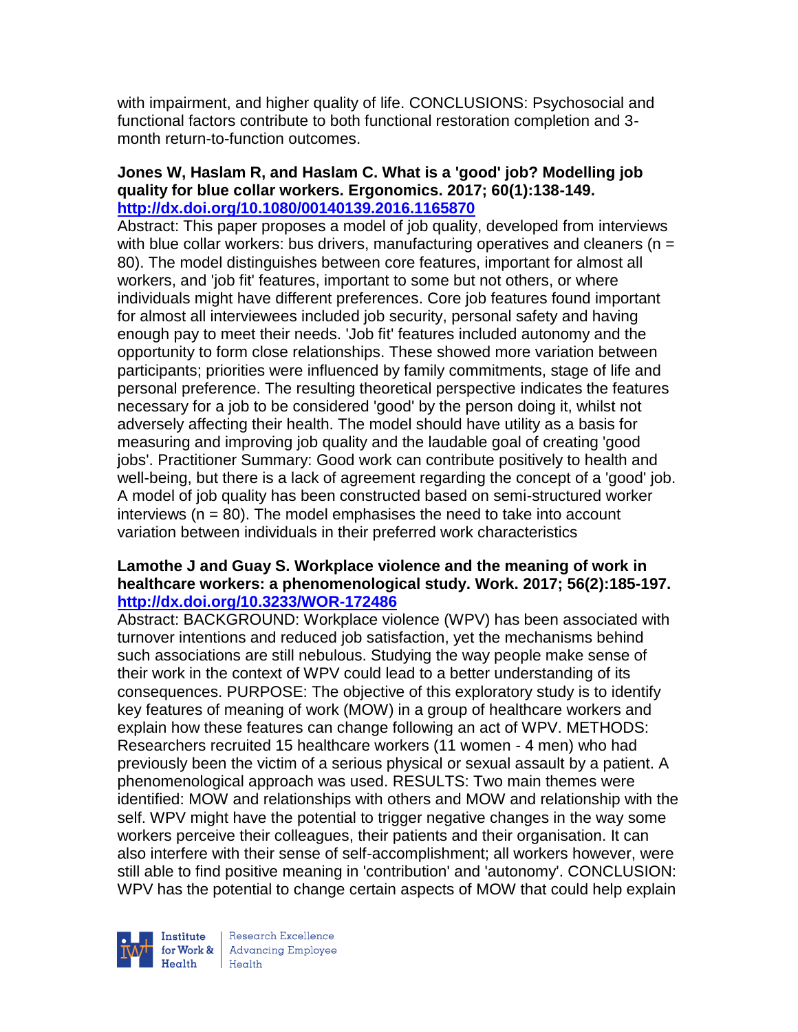with impairment, and higher quality of life. CONCLUSIONS: Psychosocial and functional factors contribute to both functional restoration completion and 3 month return-to-function outcomes.

### **Jones W, Haslam R, and Haslam C. What is a 'good' job? Modelling job quality for blue collar workers. Ergonomics. 2017; 60(1):138-149. <http://dx.doi.org/10.1080/00140139.2016.1165870>**

Abstract: This paper proposes a model of job quality, developed from interviews with blue collar workers: bus drivers, manufacturing operatives and cleaners ( $n =$ 80). The model distinguishes between core features, important for almost all workers, and 'job fit' features, important to some but not others, or where individuals might have different preferences. Core job features found important for almost all interviewees included job security, personal safety and having enough pay to meet their needs. 'Job fit' features included autonomy and the opportunity to form close relationships. These showed more variation between participants; priorities were influenced by family commitments, stage of life and personal preference. The resulting theoretical perspective indicates the features necessary for a job to be considered 'good' by the person doing it, whilst not adversely affecting their health. The model should have utility as a basis for measuring and improving job quality and the laudable goal of creating 'good jobs'. Practitioner Summary: Good work can contribute positively to health and well-being, but there is a lack of agreement regarding the concept of a 'good' job. A model of job quality has been constructed based on semi-structured worker interviews ( $n = 80$ ). The model emphasises the need to take into account variation between individuals in their preferred work characteristics

## **Lamothe J and Guay S. Workplace violence and the meaning of work in healthcare workers: a phenomenological study. Work. 2017; 56(2):185-197. <http://dx.doi.org/10.3233/WOR-172486>**

Abstract: BACKGROUND: Workplace violence (WPV) has been associated with turnover intentions and reduced job satisfaction, yet the mechanisms behind such associations are still nebulous. Studying the way people make sense of their work in the context of WPV could lead to a better understanding of its consequences. PURPOSE: The objective of this exploratory study is to identify key features of meaning of work (MOW) in a group of healthcare workers and explain how these features can change following an act of WPV. METHODS: Researchers recruited 15 healthcare workers (11 women - 4 men) who had previously been the victim of a serious physical or sexual assault by a patient. A phenomenological approach was used. RESULTS: Two main themes were identified: MOW and relationships with others and MOW and relationship with the self. WPV might have the potential to trigger negative changes in the way some workers perceive their colleagues, their patients and their organisation. It can also interfere with their sense of self-accomplishment; all workers however, were still able to find positive meaning in 'contribution' and 'autonomy'. CONCLUSION: WPV has the potential to change certain aspects of MOW that could help explain

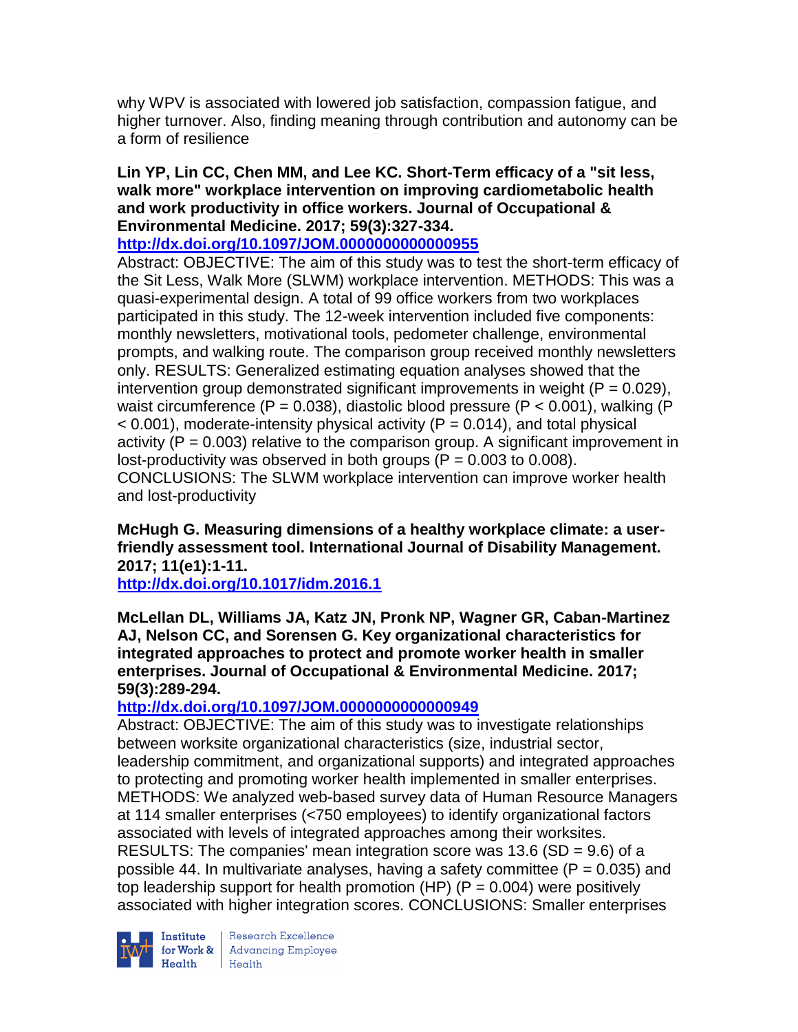why WPV is associated with lowered job satisfaction, compassion fatigue, and higher turnover. Also, finding meaning through contribution and autonomy can be a form of resilience

## **Lin YP, Lin CC, Chen MM, and Lee KC. Short-Term efficacy of a "sit less, walk more" workplace intervention on improving cardiometabolic health and work productivity in office workers. Journal of Occupational & Environmental Medicine. 2017; 59(3):327-334.**

# **<http://dx.doi.org/10.1097/JOM.0000000000000955>**

Abstract: OBJECTIVE: The aim of this study was to test the short-term efficacy of the Sit Less, Walk More (SLWM) workplace intervention. METHODS: This was a quasi-experimental design. A total of 99 office workers from two workplaces participated in this study. The 12-week intervention included five components: monthly newsletters, motivational tools, pedometer challenge, environmental prompts, and walking route. The comparison group received monthly newsletters only. RESULTS: Generalized estimating equation analyses showed that the intervention group demonstrated significant improvements in weight ( $P = 0.029$ ). waist circumference  $(P = 0.038)$ , diastolic blood pressure  $(P < 0.001)$ , walking  $(P \leq 0.001)$  $<$  0.001), moderate-intensity physical activity (P = 0.014), and total physical activity ( $P = 0.003$ ) relative to the comparison group. A significant improvement in lost-productivity was observed in both groups  $(P = 0.003$  to 0.008). CONCLUSIONS: The SLWM workplace intervention can improve worker health and lost-productivity

**McHugh G. Measuring dimensions of a healthy workplace climate: a userfriendly assessment tool. International Journal of Disability Management. 2017; 11(e1):1-11.** 

**<http://dx.doi.org/10.1017/idm.2016.1>**

**McLellan DL, Williams JA, Katz JN, Pronk NP, Wagner GR, Caban-Martinez AJ, Nelson CC, and Sorensen G. Key organizational characteristics for integrated approaches to protect and promote worker health in smaller enterprises. Journal of Occupational & Environmental Medicine. 2017; 59(3):289-294.** 

# **<http://dx.doi.org/10.1097/JOM.0000000000000949>**

Abstract: OBJECTIVE: The aim of this study was to investigate relationships between worksite organizational characteristics (size, industrial sector, leadership commitment, and organizational supports) and integrated approaches to protecting and promoting worker health implemented in smaller enterprises. METHODS: We analyzed web-based survey data of Human Resource Managers at 114 smaller enterprises (<750 employees) to identify organizational factors associated with levels of integrated approaches among their worksites. RESULTS: The companies' mean integration score was 13.6 (SD = 9.6) of a possible 44. In multivariate analyses, having a safety committee  $(P = 0.035)$  and top leadership support for health promotion (HP)  $(P = 0.004)$  were positively associated with higher integration scores. CONCLUSIONS: Smaller enterprises



**Institute** Research Excellence<br> **for Work &** Advancing Employee<br> **Health** Health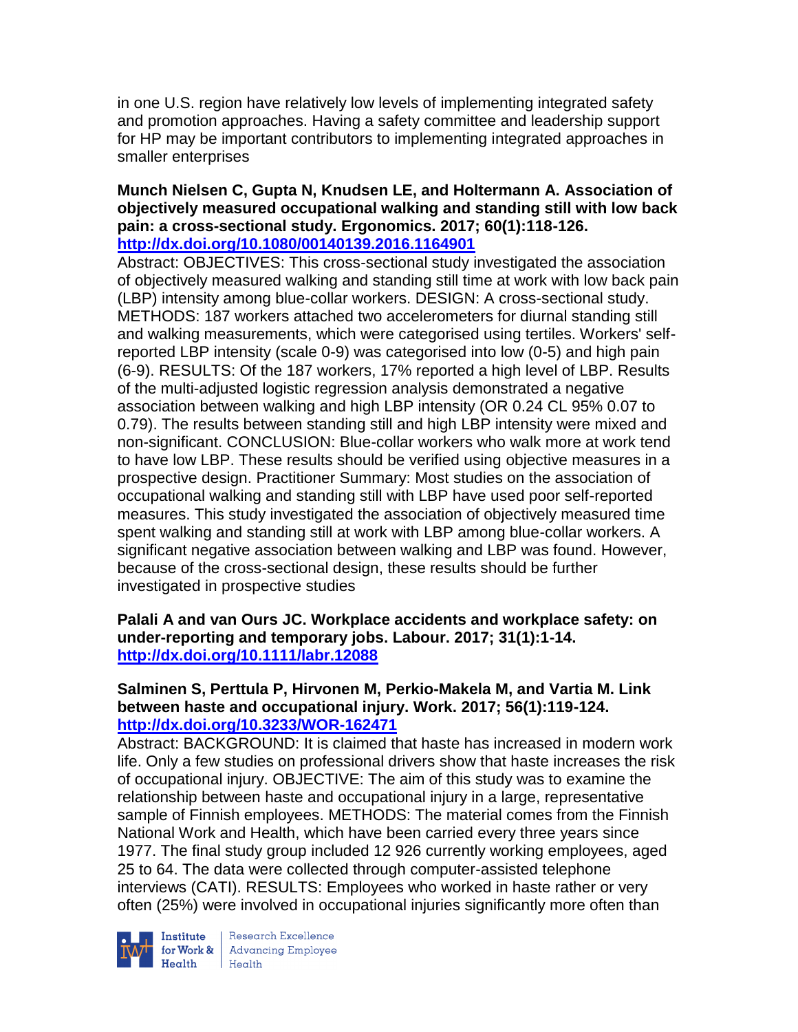in one U.S. region have relatively low levels of implementing integrated safety and promotion approaches. Having a safety committee and leadership support for HP may be important contributors to implementing integrated approaches in smaller enterprises

### **Munch Nielsen C, Gupta N, Knudsen LE, and Holtermann A. Association of objectively measured occupational walking and standing still with low back pain: a cross-sectional study. Ergonomics. 2017; 60(1):118-126. <http://dx.doi.org/10.1080/00140139.2016.1164901>**

Abstract: OBJECTIVES: This cross-sectional study investigated the association of objectively measured walking and standing still time at work with low back pain (LBP) intensity among blue-collar workers. DESIGN: A cross-sectional study. METHODS: 187 workers attached two accelerometers for diurnal standing still and walking measurements, which were categorised using tertiles. Workers' selfreported LBP intensity (scale 0-9) was categorised into low (0-5) and high pain (6-9). RESULTS: Of the 187 workers, 17% reported a high level of LBP. Results of the multi-adjusted logistic regression analysis demonstrated a negative association between walking and high LBP intensity (OR 0.24 CL 95% 0.07 to 0.79). The results between standing still and high LBP intensity were mixed and non-significant. CONCLUSION: Blue-collar workers who walk more at work tend to have low LBP. These results should be verified using objective measures in a prospective design. Practitioner Summary: Most studies on the association of occupational walking and standing still with LBP have used poor self-reported measures. This study investigated the association of objectively measured time spent walking and standing still at work with LBP among blue-collar workers. A significant negative association between walking and LBP was found. However, because of the cross-sectional design, these results should be further investigated in prospective studies

## **Palali A and van Ours JC. Workplace accidents and workplace safety: on under-reporting and temporary jobs. Labour. 2017; 31(1):1-14. <http://dx.doi.org/10.1111/labr.12088>**

## **Salminen S, Perttula P, Hirvonen M, Perkio-Makela M, and Vartia M. Link between haste and occupational injury. Work. 2017; 56(1):119-124. <http://dx.doi.org/10.3233/WOR-162471>**

Abstract: BACKGROUND: It is claimed that haste has increased in modern work life. Only a few studies on professional drivers show that haste increases the risk of occupational injury. OBJECTIVE: The aim of this study was to examine the relationship between haste and occupational injury in a large, representative sample of Finnish employees. METHODS: The material comes from the Finnish National Work and Health, which have been carried every three years since 1977. The final study group included 12 926 currently working employees, aged 25 to 64. The data were collected through computer-assisted telephone interviews (CATI). RESULTS: Employees who worked in haste rather or very often (25%) were involved in occupational injuries significantly more often than



Institute Research Excellence<br>for Work & Advancing Employee<br>Health Health  $Heath$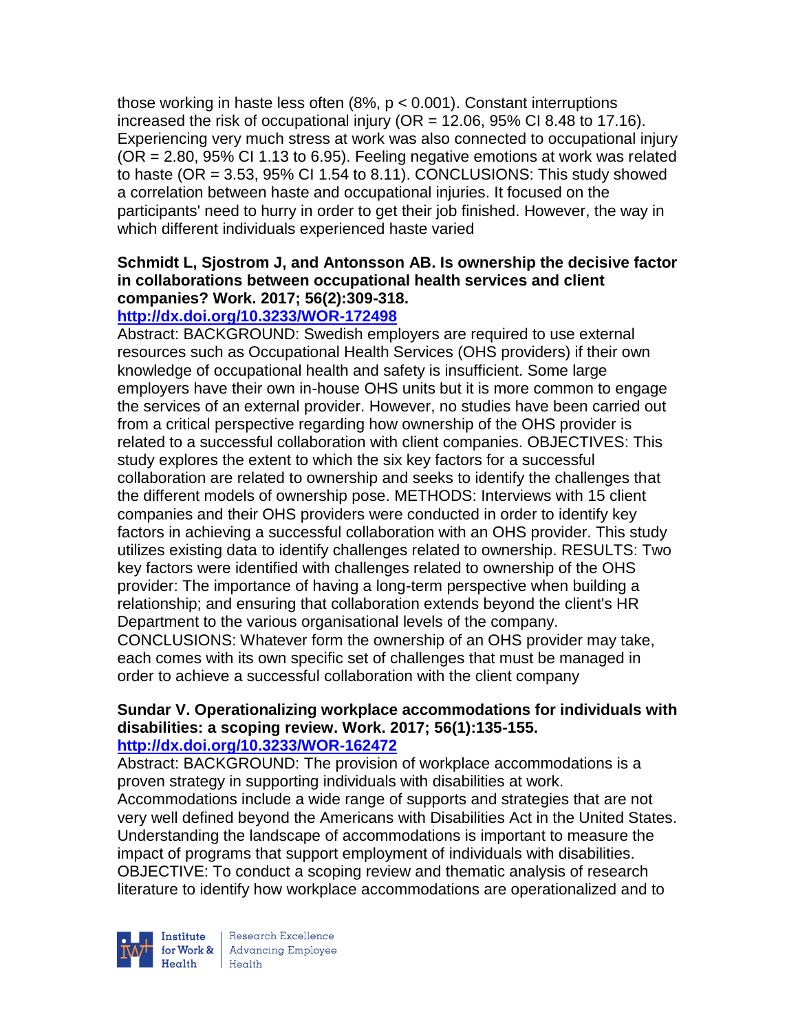those working in haste less often (8%, p < 0.001). Constant interruptions increased the risk of occupational injury ( $OR = 12.06$ ,  $95\%$  CI 8.48 to 17.16). Experiencing very much stress at work was also connected to occupational injury (OR = 2.80, 95% CI 1.13 to 6.95). Feeling negative emotions at work was related to haste (OR  $= 3.53$ , 95% CI 1.54 to 8.11). CONCLUSIONS: This study showed a correlation between haste and occupational injuries. It focused on the participants' need to hurry in order to get their job finished. However, the way in which different individuals experienced haste varied

# **Schmidt L, Sjostrom J, and Antonsson AB. Is ownership the decisive factor in collaborations between occupational health services and client companies? Work. 2017; 56(2):309-318.**

# **<http://dx.doi.org/10.3233/WOR-172498>**

Abstract: BACKGROUND: Swedish employers are required to use external resources such as Occupational Health Services (OHS providers) if their own knowledge of occupational health and safety is insufficient. Some large employers have their own in-house OHS units but it is more common to engage the services of an external provider. However, no studies have been carried out from a critical perspective regarding how ownership of the OHS provider is related to a successful collaboration with client companies. OBJECTIVES: This study explores the extent to which the six key factors for a successful collaboration are related to ownership and seeks to identify the challenges that the different models of ownership pose. METHODS: Interviews with 15 client companies and their OHS providers were conducted in order to identify key factors in achieving a successful collaboration with an OHS provider. This study utilizes existing data to identify challenges related to ownership. RESULTS: Two key factors were identified with challenges related to ownership of the OHS provider: The importance of having a long-term perspective when building a relationship; and ensuring that collaboration extends beyond the client's HR Department to the various organisational levels of the company. CONCLUSIONS: Whatever form the ownership of an OHS provider may take, each comes with its own specific set of challenges that must be managed in order to achieve a successful collaboration with the client company

#### **Sundar V. Operationalizing workplace accommodations for individuals with disabilities: a scoping review. Work. 2017; 56(1):135-155. <http://dx.doi.org/10.3233/WOR-162472>**

Abstract: BACKGROUND: The provision of workplace accommodations is a proven strategy in supporting individuals with disabilities at work. Accommodations include a wide range of supports and strategies that are not very well defined beyond the Americans with Disabilities Act in the United States. Understanding the landscape of accommodations is important to measure the impact of programs that support employment of individuals with disabilities. OBJECTIVE: To conduct a scoping review and thematic analysis of research literature to identify how workplace accommodations are operationalized and to



Research Excellence for Work & | Advancing Employee  $Heath$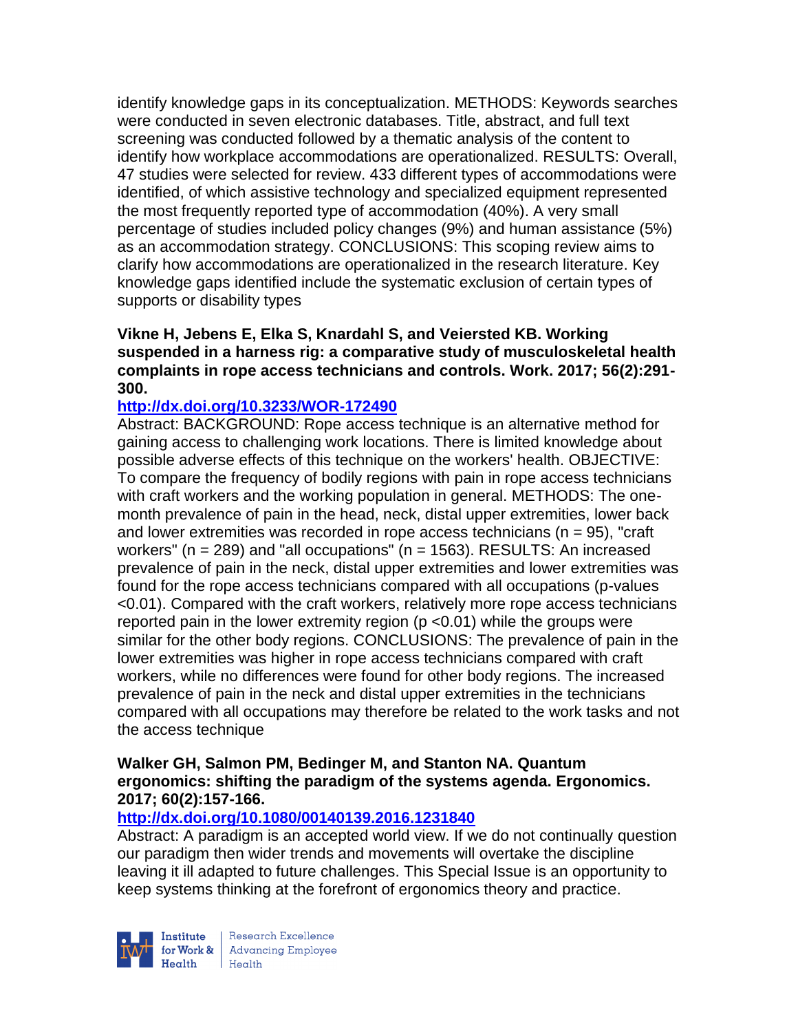identify knowledge gaps in its conceptualization. METHODS: Keywords searches were conducted in seven electronic databases. Title, abstract, and full text screening was conducted followed by a thematic analysis of the content to identify how workplace accommodations are operationalized. RESULTS: Overall, 47 studies were selected for review. 433 different types of accommodations were identified, of which assistive technology and specialized equipment represented the most frequently reported type of accommodation (40%). A very small percentage of studies included policy changes (9%) and human assistance (5%) as an accommodation strategy. CONCLUSIONS: This scoping review aims to clarify how accommodations are operationalized in the research literature. Key knowledge gaps identified include the systematic exclusion of certain types of supports or disability types

### **Vikne H, Jebens E, Elka S, Knardahl S, and Veiersted KB. Working suspended in a harness rig: a comparative study of musculoskeletal health complaints in rope access technicians and controls. Work. 2017; 56(2):291- 300.**

## **<http://dx.doi.org/10.3233/WOR-172490>**

Abstract: BACKGROUND: Rope access technique is an alternative method for gaining access to challenging work locations. There is limited knowledge about possible adverse effects of this technique on the workers' health. OBJECTIVE: To compare the frequency of bodily regions with pain in rope access technicians with craft workers and the working population in general. METHODS: The onemonth prevalence of pain in the head, neck, distal upper extremities, lower back and lower extremities was recorded in rope access technicians ( $n = 95$ ), "craft" workers" ( $n = 289$ ) and "all occupations" ( $n = 1563$ ). RESULTS: An increased prevalence of pain in the neck, distal upper extremities and lower extremities was found for the rope access technicians compared with all occupations (p-values <0.01). Compared with the craft workers, relatively more rope access technicians reported pain in the lower extremity region (p <0.01) while the groups were similar for the other body regions. CONCLUSIONS: The prevalence of pain in the lower extremities was higher in rope access technicians compared with craft workers, while no differences were found for other body regions. The increased prevalence of pain in the neck and distal upper extremities in the technicians compared with all occupations may therefore be related to the work tasks and not the access technique

### **Walker GH, Salmon PM, Bedinger M, and Stanton NA. Quantum ergonomics: shifting the paradigm of the systems agenda. Ergonomics. 2017; 60(2):157-166.**

## **<http://dx.doi.org/10.1080/00140139.2016.1231840>**

Abstract: A paradigm is an accepted world view. If we do not continually question our paradigm then wider trends and movements will overtake the discipline leaving it ill adapted to future challenges. This Special Issue is an opportunity to keep systems thinking at the forefront of ergonomics theory and practice.



Research Excellence Institute Research Excellence<br>
for Work & Advancing Employee<br>
Hogith Hogith  $Heath$